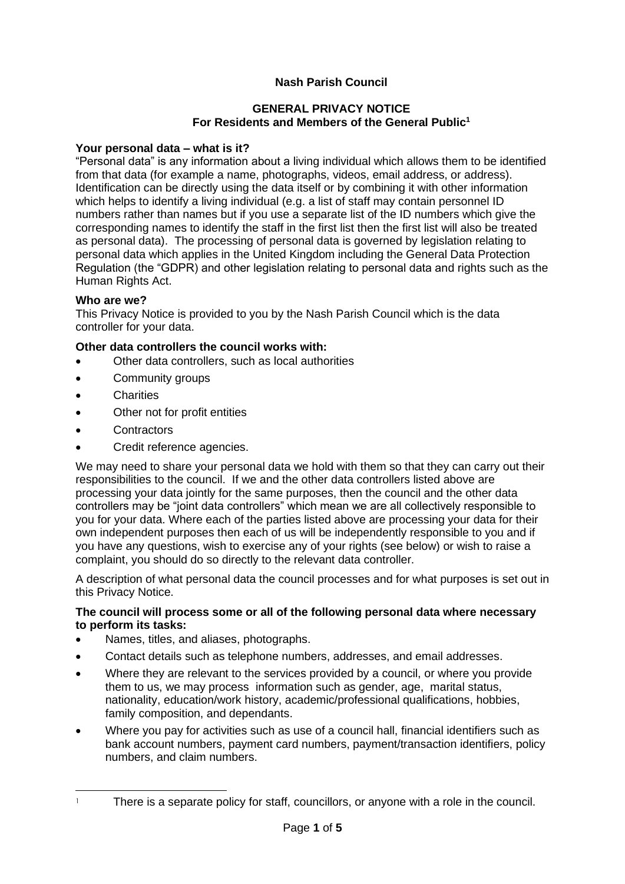# **Nash Parish Council**

#### **GENERAL PRIVACY NOTICE For Residents and Members of the General Public<sup>1</sup>**

#### **Your personal data – what is it?**

"Personal data" is any information about a living individual which allows them to be identified from that data (for example a name, photographs, videos, email address, or address). Identification can be directly using the data itself or by combining it with other information which helps to identify a living individual (e.g. a list of staff may contain personnel ID numbers rather than names but if you use a separate list of the ID numbers which give the corresponding names to identify the staff in the first list then the first list will also be treated as personal data). The processing of personal data is governed by legislation relating to personal data which applies in the United Kingdom including the General Data Protection Regulation (the "GDPR) and other legislation relating to personal data and rights such as the Human Rights Act.

#### **Who are we?**

This Privacy Notice is provided to you by the Nash Parish Council which is the data controller for your data.

#### **Other data controllers the council works with:**

- Other data controllers, such as local authorities
- Community groups
- **Charities**
- Other not for profit entities
- **Contractors**
- Credit reference agencies.

We may need to share your personal data we hold with them so that they can carry out their responsibilities to the council. If we and the other data controllers listed above are processing your data jointly for the same purposes, then the council and the other data controllers may be "joint data controllers" which mean we are all collectively responsible to you for your data. Where each of the parties listed above are processing your data for their own independent purposes then each of us will be independently responsible to you and if you have any questions, wish to exercise any of your rights (see below) or wish to raise a complaint, you should do so directly to the relevant data controller.

A description of what personal data the council processes and for what purposes is set out in this Privacy Notice.

#### **The council will process some or all of the following personal data where necessary to perform its tasks:**

- Names, titles, and aliases, photographs.
- Contact details such as telephone numbers, addresses, and email addresses.
- Where they are relevant to the services provided by a council, or where you provide them to us, we may process information such as gender, age, marital status, nationality, education/work history, academic/professional qualifications, hobbies, family composition, and dependants.
- Where you pay for activities such as use of a council hall, financial identifiers such as bank account numbers, payment card numbers, payment/transaction identifiers, policy numbers, and claim numbers.

<sup>&</sup>lt;sup>1</sup> There is a separate policy for staff, councillors, or anyone with a role in the council.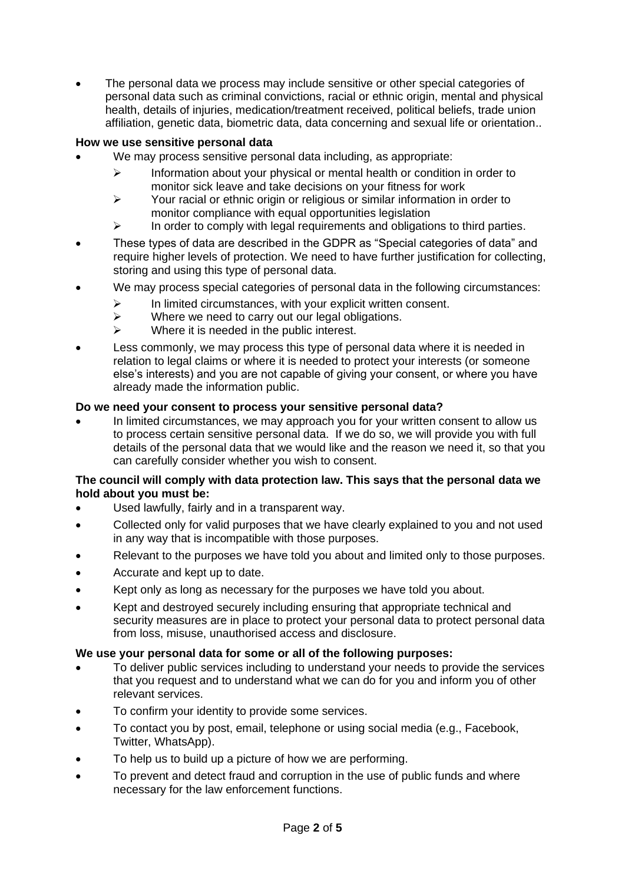The personal data we process may include sensitive or other special categories of personal data such as criminal convictions, racial or ethnic origin, mental and physical health, details of injuries, medication/treatment received, political beliefs, trade union affiliation, genetic data, biometric data, data concerning and sexual life or orientation..

# **How we use sensitive personal data**

- We may process sensitive personal data including, as appropriate:
	- $\triangleright$  Information about your physical or mental health or condition in order to monitor sick leave and take decisions on your fitness for work
	- ➢ Your racial or ethnic origin or religious or similar information in order to monitor compliance with equal opportunities legislation
	- $\triangleright$  In order to comply with legal requirements and obligations to third parties.
- These types of data are described in the GDPR as "Special categories of data" and require higher levels of protection. We need to have further justification for collecting, storing and using this type of personal data.
- We may process special categories of personal data in the following circumstances:
	- ➢ In limited circumstances, with your explicit written consent.
	- $\triangleright$  Where we need to carry out our legal obligations.
	- $\triangleright$  Where it is needed in the public interest.
- Less commonly, we may process this type of personal data where it is needed in relation to legal claims or where it is needed to protect your interests (or someone else's interests) and you are not capable of giving your consent, or where you have already made the information public.

# **Do we need your consent to process your sensitive personal data?**

• In limited circumstances, we may approach you for your written consent to allow us to process certain sensitive personal data. If we do so, we will provide you with full details of the personal data that we would like and the reason we need it, so that you can carefully consider whether you wish to consent.

# **The council will comply with data protection law. This says that the personal data we hold about you must be:**

- Used lawfully, fairly and in a transparent way.
- Collected only for valid purposes that we have clearly explained to you and not used in any way that is incompatible with those purposes.
- Relevant to the purposes we have told you about and limited only to those purposes.
- Accurate and kept up to date.
- Kept only as long as necessary for the purposes we have told you about.
- Kept and destroyed securely including ensuring that appropriate technical and security measures are in place to protect your personal data to protect personal data from loss, misuse, unauthorised access and disclosure.

# **We use your personal data for some or all of the following purposes:**

- To deliver public services including to understand your needs to provide the services that you request and to understand what we can do for you and inform you of other relevant services.
- To confirm your identity to provide some services.
- To contact you by post, email, telephone or using social media (e.g., Facebook, Twitter, WhatsApp).
- To help us to build up a picture of how we are performing.
- To prevent and detect fraud and corruption in the use of public funds and where necessary for the law enforcement functions.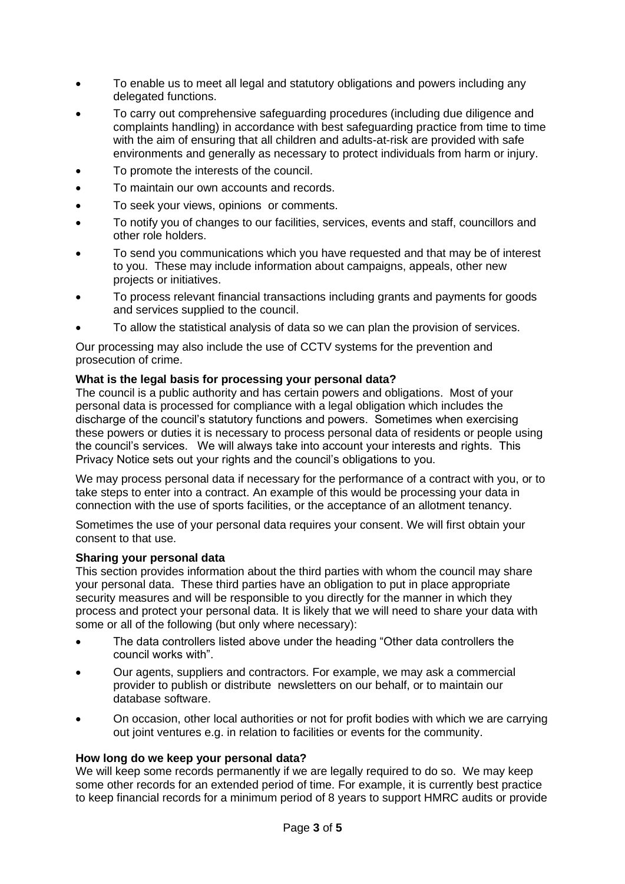- To enable us to meet all legal and statutory obligations and powers including any delegated functions.
- To carry out comprehensive safeguarding procedures (including due diligence and complaints handling) in accordance with best safeguarding practice from time to time with the aim of ensuring that all children and adults-at-risk are provided with safe environments and generally as necessary to protect individuals from harm or injury.
- To promote the interests of the council.
- To maintain our own accounts and records.
- To seek your views, opinions or comments.
- To notify you of changes to our facilities, services, events and staff, councillors and other role holders.
- To send you communications which you have requested and that may be of interest to you. These may include information about campaigns, appeals, other new projects or initiatives.
- To process relevant financial transactions including grants and payments for goods and services supplied to the council.
- To allow the statistical analysis of data so we can plan the provision of services.

Our processing may also include the use of CCTV systems for the prevention and prosecution of crime.

## **What is the legal basis for processing your personal data?**

The council is a public authority and has certain powers and obligations. Most of your personal data is processed for compliance with a legal obligation which includes the discharge of the council's statutory functions and powers. Sometimes when exercising these powers or duties it is necessary to process personal data of residents or people using the council's services. We will always take into account your interests and rights. This Privacy Notice sets out your rights and the council's obligations to you.

We may process personal data if necessary for the performance of a contract with you, or to take steps to enter into a contract. An example of this would be processing your data in connection with the use of sports facilities, or the acceptance of an allotment tenancy.

Sometimes the use of your personal data requires your consent. We will first obtain your consent to that use.

#### **Sharing your personal data**

This section provides information about the third parties with whom the council may share your personal data. These third parties have an obligation to put in place appropriate security measures and will be responsible to you directly for the manner in which they process and protect your personal data. It is likely that we will need to share your data with some or all of the following (but only where necessary):

- The data controllers listed above under the heading "Other data controllers the council works with".
- Our agents, suppliers and contractors. For example, we may ask a commercial provider to publish or distribute newsletters on our behalf, or to maintain our database software.
- On occasion, other local authorities or not for profit bodies with which we are carrying out joint ventures e.g. in relation to facilities or events for the community.

## **How long do we keep your personal data?**

We will keep some records permanently if we are legally required to do so. We may keep some other records for an extended period of time. For example, it is currently best practice to keep financial records for a minimum period of 8 years to support HMRC audits or provide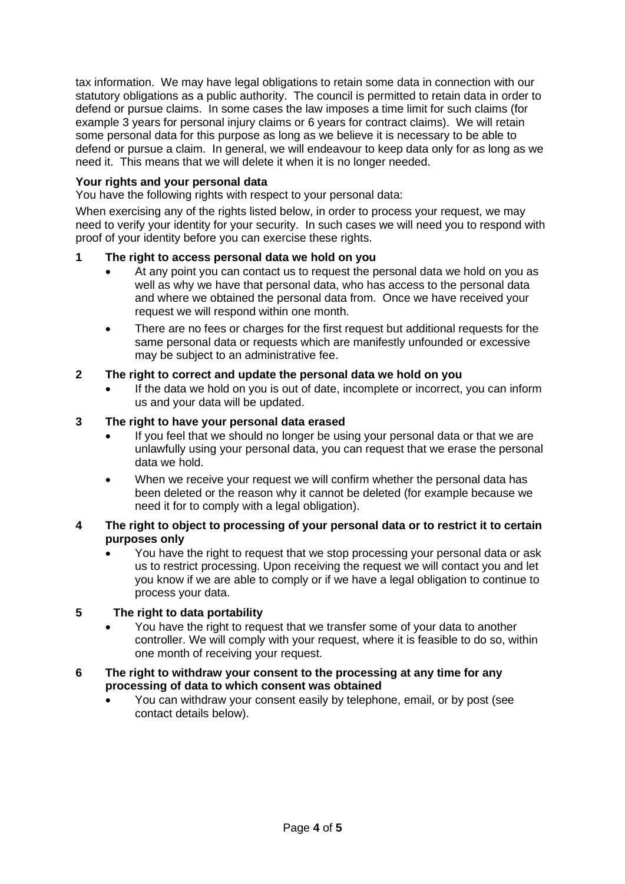tax information. We may have legal obligations to retain some data in connection with our statutory obligations as a public authority. The council is permitted to retain data in order to defend or pursue claims. In some cases the law imposes a time limit for such claims (for example 3 years for personal injury claims or 6 years for contract claims). We will retain some personal data for this purpose as long as we believe it is necessary to be able to defend or pursue a claim. In general, we will endeavour to keep data only for as long as we need it. This means that we will delete it when it is no longer needed.

# **Your rights and your personal data**

You have the following rights with respect to your personal data:

When exercising any of the rights listed below, in order to process your request, we may need to verify your identity for your security. In such cases we will need you to respond with proof of your identity before you can exercise these rights.

# **1 The right to access personal data we hold on you**

- At any point you can contact us to request the personal data we hold on you as well as why we have that personal data, who has access to the personal data and where we obtained the personal data from. Once we have received your request we will respond within one month.
- There are no fees or charges for the first request but additional requests for the same personal data or requests which are manifestly unfounded or excessive may be subject to an administrative fee.

# **2 The right to correct and update the personal data we hold on you**

If the data we hold on you is out of date, incomplete or incorrect, you can inform us and your data will be updated.

# **3 The right to have your personal data erased**

- If you feel that we should no longer be using your personal data or that we are unlawfully using your personal data, you can request that we erase the personal data we hold.
- When we receive your request we will confirm whether the personal data has been deleted or the reason why it cannot be deleted (for example because we need it for to comply with a legal obligation).

## **4 The right to object to processing of your personal data or to restrict it to certain purposes only**

• You have the right to request that we stop processing your personal data or ask us to restrict processing. Upon receiving the request we will contact you and let you know if we are able to comply or if we have a legal obligation to continue to process your data.

## **5 The right to data portability**

• You have the right to request that we transfer some of your data to another controller. We will comply with your request, where it is feasible to do so, within one month of receiving your request.

## **6 The right to withdraw your consent to the processing at any time for any processing of data to which consent was obtained**

• You can withdraw your consent easily by telephone, email, or by post (see contact details below).